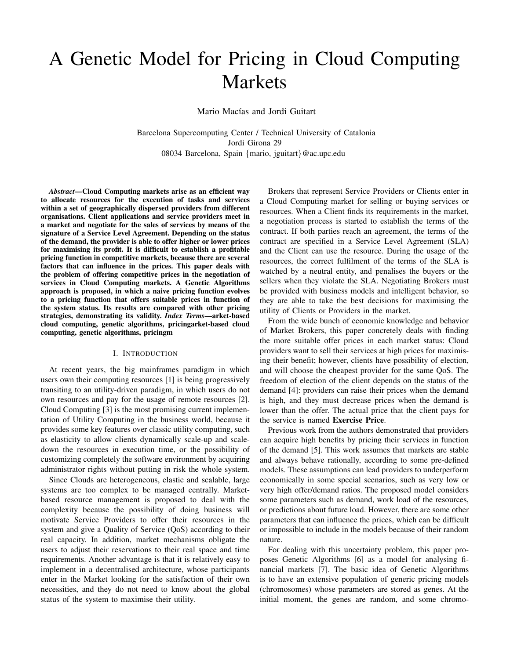# A Genetic Model for Pricing in Cloud Computing Markets

Mario Macías and Jordi Guitart

Barcelona Supercomputing Center / Technical University of Catalonia Jordi Girona 29 08034 Barcelona, Spain *{*mario, jguitart*}*@ac.upc.edu

*Abstract*—Cloud Computing markets arise as an efficient way to allocate resources for the execution of tasks and services within a set of geographically dispersed providers from different organisations. Client applications and service providers meet in a market and negotiate for the sales of services by means of the signature of a Service Level Agreement. Depending on the status of the demand, the provider is able to offer higher or lower prices for maximising its profit. It is difficult to establish a profitable pricing function in competitive markets, because there are several factors that can influence in the prices. This paper deals with the problem of offering competitive prices in the negotiation of services in Cloud Computing markets. A Genetic Algorithms approach is proposed, in which a naive pricing function evolves to a pricing function that offers suitable prices in function of the system status. Its results are compared with other pricing strategies, demonstrating its validity. *Index Terms*—arket-based cloud computing, genetic algorithms, pricingarket-based cloud computing, genetic algorithms, pricingm

#### I. INTRODUCTION

At recent years, the big mainframes paradigm in which users own their computing resources [1] is being progressively transiting to an utility-driven paradigm, in which users do not own resources and pay for the usage of remote resources [2]. Cloud Computing [3] is the most promising current implementation of Utility Computing in the business world, because it provides some key features over classic utility computing, such as elasticity to allow clients dynamically scale-up and scaledown the resources in execution time, or the possibility of customizing completely the software environment by acquiring administrator rights without putting in risk the whole system.

Since Clouds are heterogeneous, elastic and scalable, large systems are too complex to be managed centrally. Marketbased resource management is proposed to deal with the complexity because the possibility of doing business will motivate Service Providers to offer their resources in the system and give a Quality of Service (QoS) according to their real capacity. In addition, market mechanisms obligate the users to adjust their reservations to their real space and time requirements. Another advantage is that it is relatively easy to implement in a decentralised architecture, whose participants enter in the Market looking for the satisfaction of their own necessities, and they do not need to know about the global status of the system to maximise their utility.

Brokers that represent Service Providers or Clients enter in a Cloud Computing market for selling or buying services or resources. When a Client finds its requirements in the market, a negotiation process is started to establish the terms of the contract. If both parties reach an agreement, the terms of the contract are specified in a Service Level Agreement (SLA) and the Client can use the resource. During the usage of the resources, the correct fulfilment of the terms of the SLA is watched by a neutral entity, and penalises the buyers or the sellers when they violate the SLA. Negotiating Brokers must be provided with business models and intelligent behavior, so they are able to take the best decisions for maximising the utility of Clients or Providers in the market.

From the wide bunch of economic knowledge and behavior of Market Brokers, this paper concretely deals with finding the more suitable offer prices in each market status: Cloud providers want to sell their services at high prices for maximising their benefit; however, clients have possibility of election, and will choose the cheapest provider for the same QoS. The freedom of election of the client depends on the status of the demand [4]: providers can raise their prices when the demand is high, and they must decrease prices when the demand is lower than the offer. The actual price that the client pays for the service is named Exercise Price.

Previous work from the authors demonstrated that providers can acquire high benefits by pricing their services in function of the demand [5]. This work assumes that markets are stable and always behave rationally, according to some pre-defined models. These assumptions can lead providers to underperform economically in some special scenarios, such as very low or very high offer/demand ratios. The proposed model considers some parameters such as demand, work load of the resources, or predictions about future load. However, there are some other parameters that can influence the prices, which can be difficult or impossible to include in the models because of their random nature.

For dealing with this uncertainty problem, this paper proposes Genetic Algorithms [6] as a model for analysing financial markets [7]. The basic idea of Genetic Algorithms is to have an extensive population of generic pricing models (chromosomes) whose parameters are stored as genes. At the initial moment, the genes are random, and some chromo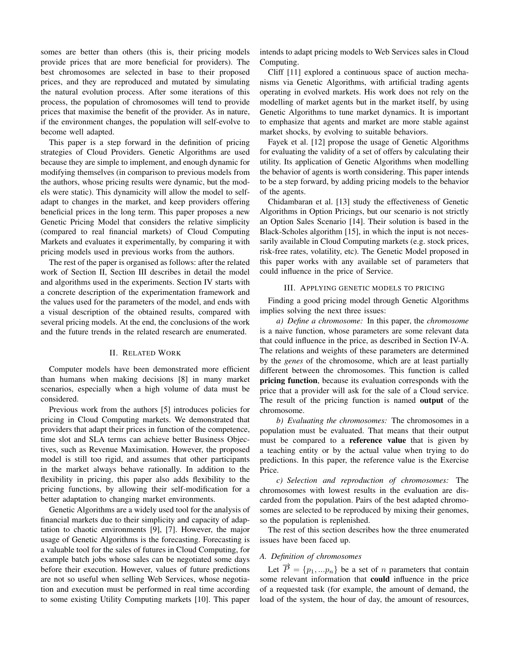somes are better than others (this is, their pricing models provide prices that are more beneficial for providers). The best chromosomes are selected in base to their proposed prices, and they are reproduced and mutated by simulating the natural evolution process. After some iterations of this process, the population of chromosomes will tend to provide prices that maximise the benefit of the provider. As in nature, if the environment changes, the population will self-evolve to become well adapted.

This paper is a step forward in the definition of pricing strategies of Cloud Providers. Genetic Algorithms are used because they are simple to implement, and enough dynamic for modifying themselves (in comparison to previous models from the authors, whose pricing results were dynamic, but the models were static). This dynamicity will allow the model to selfadapt to changes in the market, and keep providers offering beneficial prices in the long term. This paper proposes a new Genetic Pricing Model that considers the relative simplicity (compared to real financial markets) of Cloud Computing Markets and evaluates it experimentally, by comparing it with pricing models used in previous works from the authors.

The rest of the paper is organised as follows: after the related work of Section II, Section III describes in detail the model and algorithms used in the experiments. Section IV starts with a concrete description of the experimentation framework and the values used for the parameters of the model, and ends with a visual description of the obtained results, compared with several pricing models. At the end, the conclusions of the work and the future trends in the related research are enumerated.

## II. RELATED WORK

Computer models have been demonstrated more efficient than humans when making decisions [8] in many market scenarios, especially when a high volume of data must be considered.

Previous work from the authors [5] introduces policies for pricing in Cloud Computing markets. We demonstrated that providers that adapt their prices in function of the competence, time slot and SLA terms can achieve better Business Objectives, such as Revenue Maximisation. However, the proposed model is still too rigid, and assumes that other participants in the market always behave rationally. In addition to the flexibility in pricing, this paper also adds flexibility to the pricing functions, by allowing their self-modification for a better adaptation to changing market environments.

Genetic Algorithms are a widely used tool for the analysis of financial markets due to their simplicity and capacity of adaptation to chaotic environments [9], [7]. However, the major usage of Genetic Algorithms is the forecasting. Forecasting is a valuable tool for the sales of futures in Cloud Computing, for example batch jobs whose sales can be negotiated some days before their execution. However, values of future predictions are not so useful when selling Web Services, whose negotiation and execution must be performed in real time according to some existing Utility Computing markets [10]. This paper intends to adapt pricing models to Web Services sales in Cloud Computing.

Cliff [11] explored a continuous space of auction mechanisms via Genetic Algorithms, with artificial trading agents operating in evolved markets. His work does not rely on the modelling of market agents but in the market itself, by using Genetic Algorithms to tune market dynamics. It is important to emphasize that agents and market are more stable against market shocks, by evolving to suitable behaviors.

Fayek et al. [12] propose the usage of Genetic Algorithms for evaluating the validity of a set of offers by calculating their utility. Its application of Genetic Algorithms when modelling the behavior of agents is worth considering. This paper intends to be a step forward, by adding pricing models to the behavior of the agents.

Chidambaran et al. [13] study the effectiveness of Genetic Algorithms in Option Pricings, but our scenario is not strictly an Option Sales Scenario [14]. Their solution is based in the Black-Scholes algorithm [15], in which the input is not necessarily available in Cloud Computing markets (e.g. stock prices, risk-free rates, volatility, etc). The Genetic Model proposed in this paper works with any available set of parameters that could influence in the price of Service.

## III. APPLYING GENETIC MODELS TO PRICING

Finding a good pricing model through Genetic Algorithms implies solving the next three issues:

*a) Define a chromosome:* In this paper, the *chromosome* is a naive function, whose parameters are some relevant data that could influence in the price, as described in Section IV-A. The relations and weights of these parameters are determined by the *genes* of the chromosome, which are at least partially different between the chromosomes. This function is called pricing function, because its evaluation corresponds with the price that a provider will ask for the sale of a Cloud service. The result of the pricing function is named **output** of the chromosome.

*b) Evaluating the chromosomes:* The chromosomes in a population must be evaluated. That means that their output must be compared to a reference value that is given by a teaching entity or by the actual value when trying to do predictions. In this paper, the reference value is the Exercise Price.

*c) Selection and reproduction of chromosomes:* The chromosomes with lowest results in the evaluation are discarded from the population. Pairs of the best adapted chromosomes are selected to be reproduced by mixing their genomes, so the population is replenished.

The rest of this section describes how the three enumerated issues have been faced up.

## *A. Definition of chromosomes*

Let  $\vec{P} = \{p_1, \ldots, p_n\}$  be a set of *n* parameters that contain some relevant information that could influence in the price of a requested task (for example, the amount of demand, the load of the system, the hour of day, the amount of resources,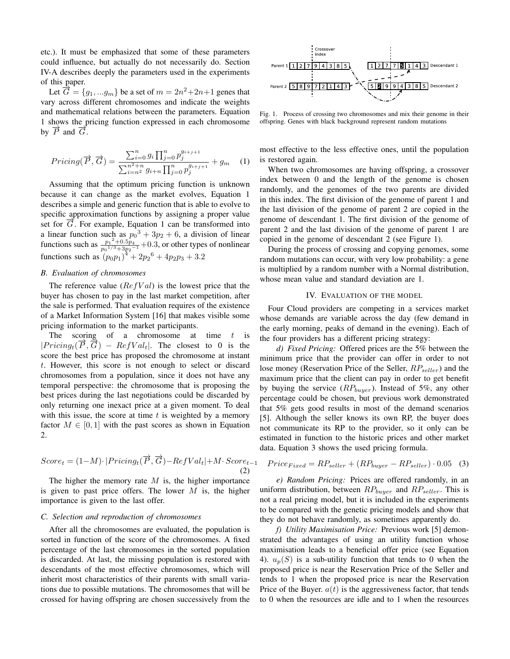etc.). It must be emphasized that some of these parameters could influence, but actually do not necessarily do. Section IV-A describes deeply the parameters used in the experiments of this paper.

Let  $\overrightarrow{G} = \{g_1, \ldots g_m\}$  be a set of  $m = 2n^2 + 2n + 1$  genes that vary across different chromosomes and indicate the weights and mathematical relations between the parameters. Equation 1 shows the pricing function expressed in each chromosome by  $\overrightarrow{P}$  and  $\overrightarrow{G}$ .

$$
Pricing(\overrightarrow{P}, \overrightarrow{G}) = \frac{\sum_{i=0}^{n} g_i \prod_{j=0}^{n} p_j^{g_{i+j+1}}}{\sum_{i=n}^{n^2+n} g_{i+n} \prod_{j=0}^{n} p_j^{g_{i+j+1}}} + g_m \quad (1)
$$

Assuming that the optimum pricing function is unknown because it can change as the market evolves, Equation 1 describes a simple and generic function that is able to evolve to specific approximation functions by assigning a proper value set for  $\overrightarrow{G}$ . For example, Equation 1 can be transformed into a linear function such as  $p_0^3 + 3p_2 + 6$ , a division of linear functions such as  $\frac{p_1^2 + 0.5p_4}{p_1^2 + 0.5p_4^2}$  $\frac{p_1^2 + 0.5p_4}{p_0^{1/3} + 3p_2^{-1}} + 0.3$ , or other types of nonlinear functions such as  $(p_0p_1)^4 + 2p_2^6 + 4p_2p_3 + 3.2$ 

## *B. Evaluation of chromosomes*

The reference value (*RefV al*) is the lowest price that the buyer has chosen to pay in the last market competition, after the sale is performed. That evaluation requires of the existence of a Market Information System [16] that makes visible some pricing information to the market participants.

The scoring of a chromosome at time *t* is  $|Pricing_t(\vec{P}, \vec{G}) - RefVal_t|$ . The closest to 0 is the score the best price has proposed the chromosome at instant *t*. However, this score is not enough to select or discard chromosomes from a population, since it does not have any temporal perspective: the chromosome that is proposing the best prices during the last negotiations could be discarded by only returning one inexact price at a given moment. To deal with this issue, the score at time *t* is weighted by a memory factor  $M \in [0, 1]$  with the past scores as shown in Equation 2.

$$
Score_t = (1 - M) \cdot |Pricing_t(\overrightarrow{P}, \overrightarrow{G}) - RefVal_t| + M \cdot Score_{t-1}
$$
\n(2)

The higher the memory rate *M* is, the higher importance is given to past price offers. The lower *M* is, the higher importance is given to the last offer.

## *C. Selection and reproduction of chromosomes*

After all the chromosomes are evaluated, the population is sorted in function of the score of the chromosomes. A fixed percentage of the last chromosomes in the sorted population is discarded. At last, the missing population is restored with descendants of the most effective chromosomes, which will inherit most characteristics of their parents with small variations due to possible mutations. The chromosomes that will be crossed for having offspring are chosen successively from the



Fig. 1. Process of crossing two chromosomes and mix their genome in their offspring. Genes with black background represent random mutations

most effective to the less effective ones, until the population is restored again.

When two chromosomes are having offspring, a crossover index between 0 and the length of the genome is chosen randomly, and the genomes of the two parents are divided in this index. The first division of the genome of parent 1 and the last division of the genome of parent 2 are copied in the genome of descendant 1. The first division of the genome of parent 2 and the last division of the genome of parent 1 are copied in the genome of descendant 2 (see Figure 1).

During the process of crossing and copying genomes, some random mutations can occur, with very low probability: a gene is multiplied by a random number with a Normal distribution, whose mean value and standard deviation are 1.

#### IV. EVALUATION OF THE MODEL

Four Cloud providers are competing in a services market whose demands are variable across the day (few demand in the early morning, peaks of demand in the evening). Each of the four providers has a different pricing strategy:

*d) Fixed Pricing:* Offered prices are the 5% between the minimum price that the provider can offer in order to not lose money (Reservation Price of the Seller, *RPseller*) and the maximum price that the client can pay in order to get benefit by buying the service (*RPbuyer*). Instead of 5%, any other percentage could be chosen, but previous work demonstrated that 5% gets good results in most of the demand scenarios [5]. Although the seller knows its own RP, the buyer does not communicate its RP to the provider, so it only can be estimated in function to the historic prices and other market data. Equation 3 shows the used pricing formula.

$$
Price_{Fixed} = RP_{seller} + (RP_{burger} - RP_{seller}) \cdot 0.05 \quad (3)
$$

*e) Random Pricing:* Prices are offered randomly, in an uniform distribution, between *RPbuyer* and *RPseller*. This is not a real pricing model, but it is included in the experiments to be compared with the genetic pricing models and show that they do not behave randomly, as sometimes apparently do.

*f) Utility Maximisation Price:* Previous work [5] demonstrated the advantages of using an utility function whose maximisation leads to a beneficial offer price (see Equation 4).  $u_p(S)$  is a sub-utility function that tends to 0 when the proposed price is near the Reservation Price of the Seller and tends to 1 when the proposed price is near the Reservation Price of the Buyer.  $a(t)$  is the aggressiveness factor, that tends to 0 when the resources are idle and to 1 when the resources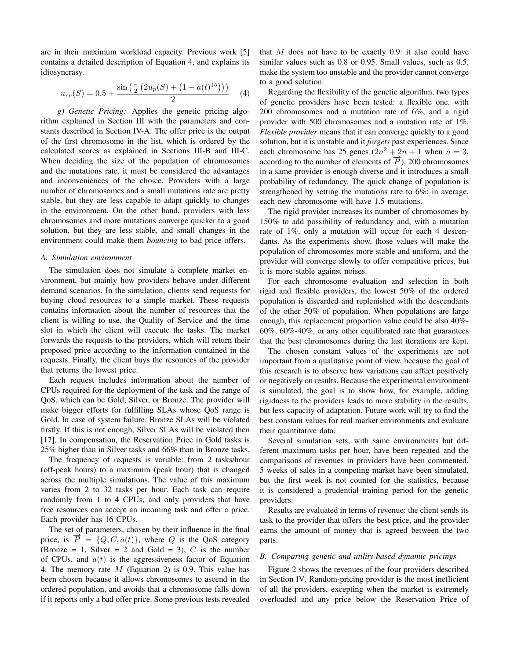are in their maximum workload capacity. Previous work [5] contains a detailed description of Equation 4, and explains its idiosyncrasy.

$$
u_{rv}(S) = 0.5 + \frac{\sin\left(\frac{\pi}{2}\left(2u_p(S) + \left(1 - a(t)^{15}\right)\right)\right)}{2} \tag{4}
$$

*g) Genetic Pricing:* Applies the genetic pricing algorithm explained in Section III with the parameters and constants described in Section IV-A. The offer price is the output of the first chromosome in the list, which is ordered by the calculated scores as explained in Sections III-B and III-C. When deciding the size of the population of chromosomes and the mutations rate, it must be considered the advantages and inconveniences of the choice. Providers with a large number of chromosomes and a small mutations rate are pretty stable, but they are less capable to adapt quickly to changes in the environment. On the other hand, providers with less chromosomes and more mutations converge quicker to a good solution, but they are less stable, and small changes in the environment could make them *bouncing* to bad price offers.

## *A. Simulation environment*

The simulation does not simulate a complete market environment, but mainly how providers behave under different demand scenarios. In the simulation, clients send requests for buying cloud resources to a simple market. These requests contains information about the number of resources that the client is willing to use, the Quality of Service and the time slot in which the client will execute the tasks. The market forwards the requests to the providers, which will return their proposed price according to the information contained in the requests. Finally, the client buys the resources of the provider that returns the lowest price.

Each request includes information about the number of CPUs required for the deployment of the task and the range of QoS, which can be Gold, Silver, or Bronze. The provider will make bigger efforts for fulfilling SLAs whose QoS range is Gold. In case of system failure, Bronze SLAs will be violated firstly. If this is not enough, Silver SLAs will be violated then [17]. In compensation, the Reservation Price in Gold tasks is 25% higher than in Silver tasks and 66% than in Bronze tasks.

The frequency of requests is variable: from 2 tasks/hour (off-peak hours) to a maximum (peak hour) that is changed across the multiple simulations. The value of this maximum varies from 2 to 32 tasks per hour. Each task can require randomly from 1 to 4 CPUs, and only providers that have free resources can accept an incoming task and offer a price. Each provider has 16 CPUs.

The set of parameters, chosen by their influence in the final price, is  $\vec{P} = \{Q, C, a(t)\}\$ , where *Q* is the QoS category (Bronze = 1, Silver = 2 and Gold = 3),  $C$  is the number of CPUs, and *a*(*t*) is the aggressiveness factor of Equation 4. The memory rate *M* (Equation 2) is 0.9. This value has been chosen because it allows chromosomes to ascend in the ordered population, and avoids that a chromosome falls down if it reports only a bad offer price. Some previous tests revealed that *M* does not have to be exactly 0.9: it also could have similar values such as 0.8 or 0.95. Small values, such as 0.5, make the system too unstable and the provider cannot converge to a good solution.

Regarding the flexibility of the genetic algorithm, two types of genetic providers have been tested: a flexible one, with 200 chromosomes and a mutation rate of 6%, and a rigid provider with 500 chromosomes and a mutation rate of 1%. *Flexible provider* means that it can converge quickly to a good solution, but it is unstable and it *forgets* past experiences. Since each chromosome has 25 genes  $(2n^2 + 2n + 1$  when  $n = 3$ , according to the number of elements of  $\vec{P}$ ), 200 chromosomes in a same provider is enough diverse and it introduces a small probability of redundancy. The quick change of population is strengthened by setting the mutations rate to 6%: in average, each new chromosome will have 1.5 mutations.

The rigid provider increases its number of chromosomes by 150% to add possibility of redundancy and, with a mutation rate of 1%, only a mutation will occur for each 4 descendants. As the experiments show, those values will make the population of chromosomes more stable and uniform, and the provider will converge slowly to offer competitive prices, but it is more stable against noises.

For each chromosome evaluation and selection in both rigid and flexible providers, the lowest 50% of the ordered population is discarded and replenished with the descendants of the other 50% of population. When populations are large enough, this replacement proportion value could be also 40%- 60%, 60%-40%, or any other equilibrated rate that guarantees that the best chromosomes during the last iterations are kept.

The chosen constant values of the experiments are not important from a qualitative point of view, because the goal of this research is to observe how variations can affect positively or negatively on results. Because the experimental environment is simulated, the goal is to show how, for example, adding rigidness to the providers leads to more stability in the results, but less capacity of adaptation. Future work will try to find the best constant values for real market environments and evaluate their quantitative data.

Several simulation sets, with same environments but different maximum tasks per hour, have been repeated and the comparisons of revenues in providers have been commented. 5 weeks of sales in a competing market have been simulated, but the first week is not counted for the statistics, because it is considered a prudential training period for the genetic providers.

Results are evaluated in terms of revenue: the client sends its task to the provider that offers the best price, and the provider earns the amount of money that is agreed between the two parts.

#### *B. Comparing genetic and utility-based dynamic pricings*

Figure 2 shows the revenues of the four providers described in Section IV. Random-pricing provider is the most inefficient of all the providers, excepting when the market is extremely overloaded and any price below the Reservation Price of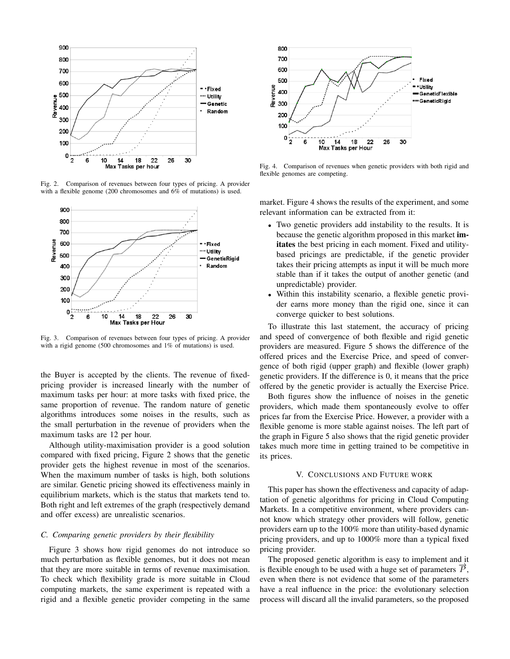

Fig. 2. Comparison of revenues between four types of pricing. A provider with a flexible genome (200 chromosomes and 6% of mutations) is used.



Fig. 3. Comparison of revenues between four types of pricing. A provider with a rigid genome (500 chromosomes and 1% of mutations) is used.

the Buyer is accepted by the clients. The revenue of fixedpricing provider is increased linearly with the number of maximum tasks per hour: at more tasks with fixed price, the same proportion of revenue. The random nature of genetic algorithms introduces some noises in the results, such as the small perturbation in the revenue of providers when the maximum tasks are 12 per hour.

Although utility-maximisation provider is a good solution compared with fixed pricing, Figure 2 shows that the genetic provider gets the highest revenue in most of the scenarios. When the maximum number of tasks is high, both solutions are similar. Genetic pricing showed its effectiveness mainly in equilibrium markets, which is the status that markets tend to. Both right and left extremes of the graph (respectively demand and offer excess) are unrealistic scenarios.

## *C. Comparing genetic providers by their flexibility*

Figure 3 shows how rigid genomes do not introduce so much perturbation as flexible genomes, but it does not mean that they are more suitable in terms of revenue maximisation. To check which flexibility grade is more suitable in Cloud computing markets, the same experiment is repeated with a rigid and a flexible genetic provider competing in the same



Fig. 4. Comparison of revenues when genetic providers with both rigid and flexible genomes are competing.

market. Figure 4 shows the results of the experiment, and some relevant information can be extracted from it:

- *•* Two genetic providers add instability to the results. It is because the genetic algorithm proposed in this market imitates the best pricing in each moment. Fixed and utilitybased pricings are predictable, if the genetic provider takes their pricing attempts as input it will be much more stable than if it takes the output of another genetic (and unpredictable) provider.
- Within this instability scenario, a flexible genetic provider earns more money than the rigid one, since it can converge quicker to best solutions.

To illustrate this last statement, the accuracy of pricing and speed of convergence of both flexible and rigid genetic providers are measured. Figure 5 shows the difference of the offered prices and the Exercise Price, and speed of convergence of both rigid (upper graph) and flexible (lower graph) genetic providers. If the difference is 0, it means that the price offered by the genetic provider is actually the Exercise Price.

Both figures show the influence of noises in the genetic providers, which made them spontaneously evolve to offer prices far from the Exercise Price. However, a provider with a flexible genome is more stable against noises. The left part of the graph in Figure 5 also shows that the rigid genetic provider takes much more time in getting trained to be competitive in its prices.

## V. CONCLUSIONS AND FUTURE WORK

This paper has shown the effectiveness and capacity of adaptation of genetic algorithms for pricing in Cloud Computing Markets. In a competitive environment, where providers cannot know which strategy other providers will follow, genetic providers earn up to the 100% more than utility-based dynamic pricing providers, and up to 1000% more than a typical fixed pricing provider.

The proposed genetic algorithm is easy to implement and it is flexible enough to be used with a huge set of parameters  $\vec{P}$ , even when there is not evidence that some of the parameters have a real influence in the price: the evolutionary selection process will discard all the invalid parameters, so the proposed